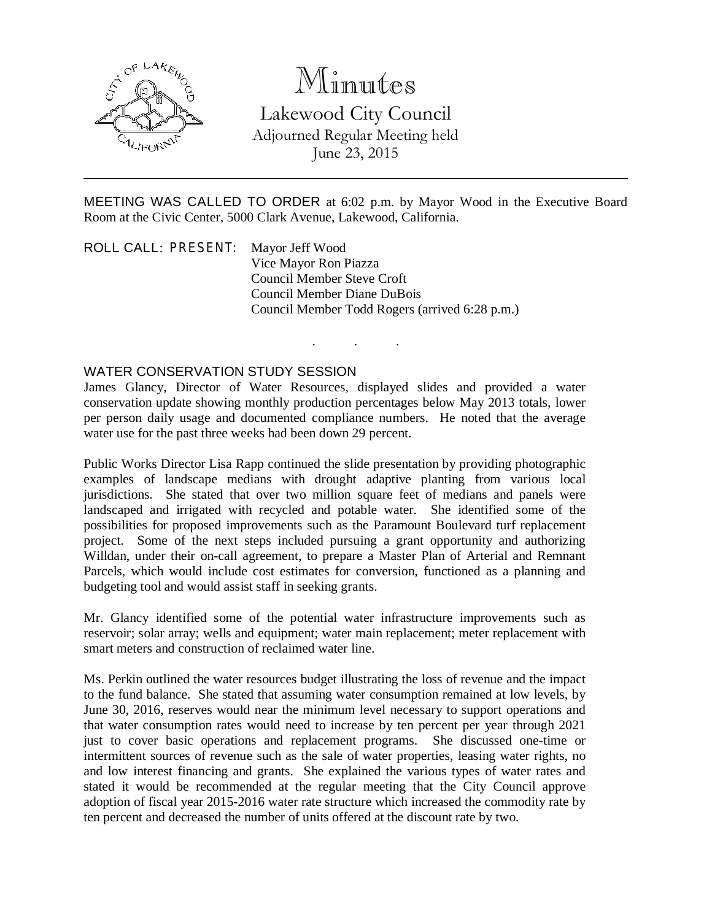

## Minutes

Lakewood City Council Adjourned Regular Meeting held June 23, 2015

MEETING WAS CALLED TO ORDER at 6:02 p.m. by Mayor Wood in the Executive Board Room at the Civic Center, 5000 Clark Avenue, Lakewood, California.

. . .

ROLL CALL: PRESENT: Mayor Jeff Wood Vice Mayor Ron Piazza Council Member Steve Croft Council Member Diane DuBois Council Member Todd Rogers (arrived 6:28 p.m.)

## WATER CONSERVATION STUDY SESSION

James Glancy, Director of Water Resources, displayed slides and provided a water conservation update showing monthly production percentages below May 2013 totals, lower per person daily usage and documented compliance numbers. He noted that the average water use for the past three weeks had been down 29 percent.

Public Works Director Lisa Rapp continued the slide presentation by providing photographic examples of landscape medians with drought adaptive planting from various local jurisdictions. She stated that over two million square feet of medians and panels were landscaped and irrigated with recycled and potable water. She identified some of the possibilities for proposed improvements such as the Paramount Boulevard turf replacement project. Some of the next steps included pursuing a grant opportunity and authorizing Willdan, under their on-call agreement, to prepare a Master Plan of Arterial and Remnant Parcels, which would include cost estimates for conversion, functioned as a planning and budgeting tool and would assist staff in seeking grants.

Mr. Glancy identified some of the potential water infrastructure improvements such as reservoir; solar array; wells and equipment; water main replacement; meter replacement with smart meters and construction of reclaimed water line.

Ms. Perkin outlined the water resources budget illustrating the loss of revenue and the impact to the fund balance. She stated that assuming water consumption remained at low levels, by June 30, 2016, reserves would near the minimum level necessary to support operations and that water consumption rates would need to increase by ten percent per year through 2021 just to cover basic operations and replacement programs. She discussed one-time or intermittent sources of revenue such as the sale of water properties, leasing water rights, no and low interest financing and grants. She explained the various types of water rates and stated it would be recommended at the regular meeting that the City Council approve adoption of fiscal year 2015-2016 water rate structure which increased the commodity rate by ten percent and decreased the number of units offered at the discount rate by two.